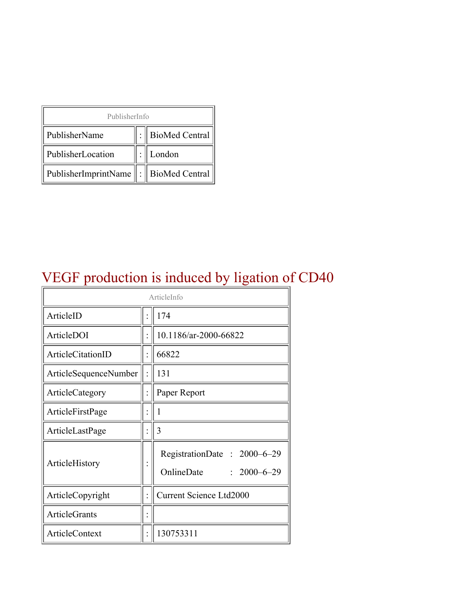| PublisherInfo                         |  |                    |  |  |
|---------------------------------------|--|--------------------|--|--|
| PublisherName                         |  | :   BioMed Central |  |  |
| PublisherLocation                     |  | London             |  |  |
| PublisherImprintName : BioMed Central |  |                    |  |  |

# VEGF production is induced by ligation of CD40

| ArticleInfo           |  |                                                                |
|-----------------------|--|----------------------------------------------------------------|
| ArticleID             |  | 174                                                            |
| ArticleDOI            |  | 10.1186/ar-2000-66822                                          |
| ArticleCitationID     |  | 66822                                                          |
| ArticleSequenceNumber |  | 131                                                            |
| ArticleCategory       |  | Paper Report                                                   |
| ArticleFirstPage      |  | 1                                                              |
| ArticleLastPage       |  | 3                                                              |
| ArticleHistory        |  | RegistrationDate: 2000-6-29<br>OnlineDate<br>$: 2000 - 6 - 29$ |
| ArticleCopyright      |  | Current Science Ltd2000                                        |
| <b>ArticleGrants</b>  |  |                                                                |
| ArticleContext        |  | 130753311                                                      |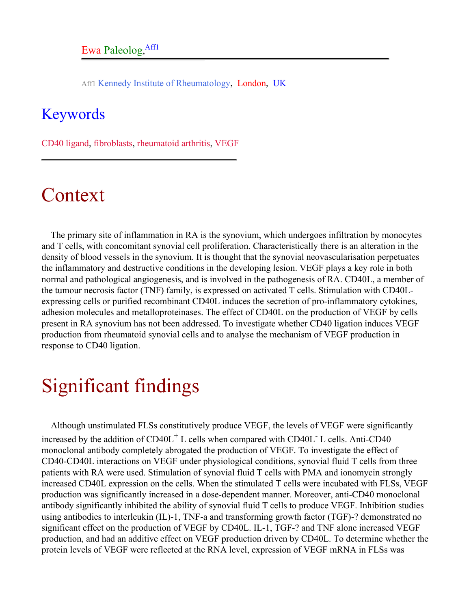Aff1 Kennedy Institute of Rheumatology, London, UK

#### <span id="page-1-0"></span>Keywords

CD40 ligand, fibroblasts, rheumatoid arthritis, VEGF

# Context

The primary site of inflammation in RA is the synovium, which undergoes infiltration by monocytes and T cells, with concomitant synovial cell proliferation. Characteristically there is an alteration in the density of blood vessels in the synovium. It is thought that the synovial neovascularisation perpetuates the inflammatory and destructive conditions in the developing lesion. VEGF plays a key role in both normal and pathological angiogenesis, and is involved in the pathogenesis of RA. CD40L, a member of the tumour necrosis factor (TNF) family, is expressed on activated T cells. Stimulation with CD40Lexpressing cells or purified recombinant CD40L induces the secretion of pro-inflammatory cytokines, adhesion molecules and metalloproteinases. The effect of CD40L on the production of VEGF by cells present in RA synovium has not been addressed. To investigate whether CD40 ligation induces VEGF production from rheumatoid synovial cells and to analyse the mechanism of VEGF production in response to CD40 ligation.

# Significant findings

Although unstimulated FLSs constitutively produce VEGF, the levels of VEGF were significantly increased by the addition of  $CD40L<sup>+</sup>$  L cells when compared with  $CD40L<sup>-</sup>$  L cells. Anti-CD40 monoclonal antibody completely abrogated the production of VEGF. To investigate the effect of CD40-CD40L interactions on VEGF under physiological conditions, synovial fluid T cells from three patients with RA were used. Stimulation of synovial fluid T cells with PMA and ionomycin strongly increased CD40L expression on the cells. When the stimulated T cells were incubated with FLSs, VEGF production was significantly increased in a dose-dependent manner. Moreover, anti-CD40 monoclonal antibody significantly inhibited the ability of synovial fluid T cells to produce VEGF. Inhibition studies using antibodies to interleukin (IL)-1, TNF-a and transforming growth factor (TGF)-? demonstrated no significant effect on the production of VEGF by CD40L. IL-1, TGF-? and TNF alone increased VEGF production, and had an additive effect on VEGF production driven by CD40L. To determine whether the protein levels of VEGF were reflected at the RNA level, expression of VEGF mRNA in FLSs was